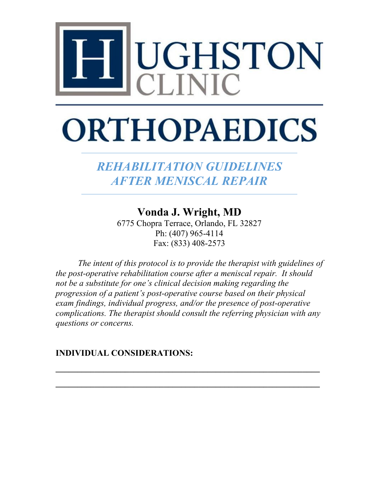

# **ORTHOPAEDICS**

*REHABILITATION GUIDELINES AFTER MENISCAL REPAIR*

**Vonda J. Wright, MD** 

6775 Chopra Terrace, Orlando, FL 32827 Ph: (407) 965-4114 Fax: (833) 408-2573

*The intent of this protocol is to provide the therapist with guidelines of the post-operative rehabilitation course after a meniscal repair. It should not be a substitute for one's clinical decision making regarding the progression of a patient's post-operative course based on their physical exam findings, individual progress, and/or the presence of post-operative complications. The therapist should consult the referring physician with any questions or concerns.*

**\_\_\_\_\_\_\_\_\_\_\_\_\_\_\_\_\_\_\_\_\_\_\_\_\_\_\_\_\_\_\_\_\_\_\_\_\_\_\_\_\_\_\_\_\_\_\_\_\_\_\_\_\_\_\_\_\_\_\_\_\_**

**\_\_\_\_\_\_\_\_\_\_\_\_\_\_\_\_\_\_\_\_\_\_\_\_\_\_\_\_\_\_\_\_\_\_\_\_\_\_\_\_\_\_\_\_\_\_\_\_\_\_\_\_\_\_\_\_\_\_\_\_\_**

**INDIVIDUAL CONSIDERATIONS:**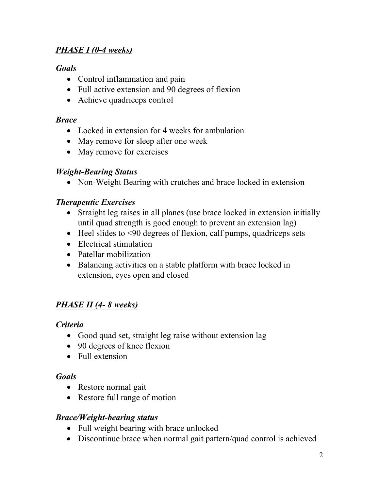## *PHASE I (0-4 weeks)*

#### *Goals*

- Control inflammation and pain
- Full active extension and 90 degrees of flexion
- Achieve quadriceps control

#### *Brace*

- Locked in extension for 4 weeks for ambulation
- May remove for sleep after one week
- May remove for exercises

#### *Weight-Bearing Status*

• Non-Weight Bearing with crutches and brace locked in extension

## *Therapeutic Exercises*

- Straight leg raises in all planes (use brace locked in extension initially until quad strength is good enough to prevent an extension lag)
- Heel slides to <90 degrees of flexion, calf pumps, quadriceps sets
- Electrical stimulation
- Patellar mobilization
- Balancing activities on a stable platform with brace locked in extension, eyes open and closed

## *PHASE II (4- 8 weeks)*

#### *Criteria*

- Good quad set, straight leg raise without extension lag
- 90 degrees of knee flexion
- Full extension

#### *Goals*

- Restore normal gait
- Restore full range of motion

#### *Brace/Weight-bearing status*

- Full weight bearing with brace unlocked
- Discontinue brace when normal gait pattern/quad control is achieved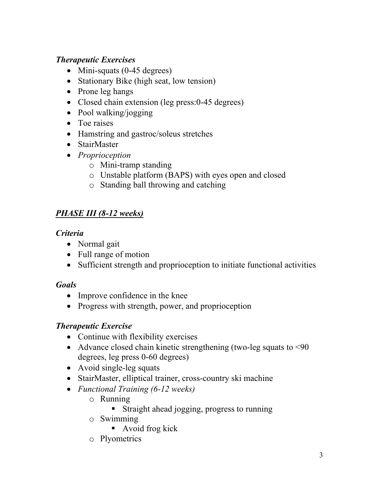## *Therapeutic Exercises*

- Mini-squats (0-45 degrees)
- Stationary Bike (high seat, low tension)
- Prone leg hangs
- Closed chain extension (leg press: 0-45 degrees)
- Pool walking/jogging
- Toe raises
- Hamstring and gastroc/soleus stretches
- StairMaster
- *Proprioception*
	- o Mini-tramp standing
	- o Unstable platform (BAPS) with eyes open and closed
	- o Standing ball throwing and catching

## *PHASE III (8-12 weeks)*

#### *Criteria*

- Normal gait
- Full range of motion
- Sufficient strength and proprioception to initiate functional activities

## *Goals*

- Improve confidence in the knee
- Progress with strength, power, and proprioception

## *Therapeutic Exercise*

- Continue with flexibility exercises
- Advance closed chain kinetic strengthening (two-leg squats to <90 degrees, leg press 0-60 degrees)
- Avoid single-leg squats
- StairMaster, elliptical trainer, cross-country ski machine
- *Functional Training (6-12 weeks)*
	- o Running
		- **Straight ahead jogging, progress to running**
	- o Swimming
		- Avoid frog kick
	- o Plyometrics